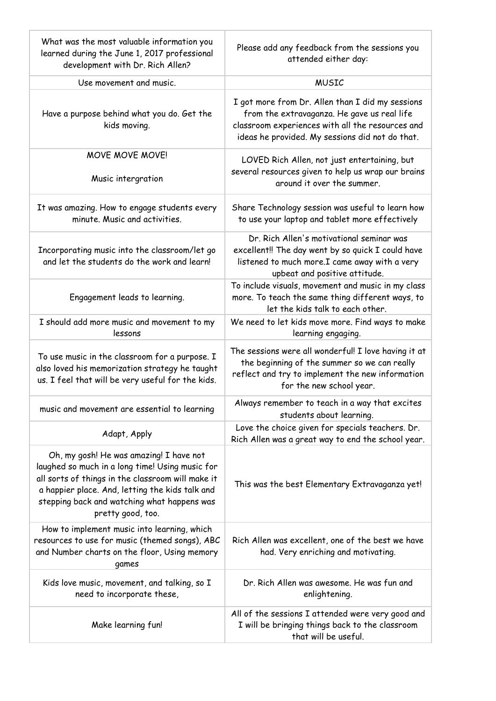| What was the most valuable information you<br>learned during the June 1, 2017 professional<br>development with Dr. Rich Allen?                                                                                                                                         | Please add any feedback from the sessions you<br>attended either day:                                                                                                                                  |
|------------------------------------------------------------------------------------------------------------------------------------------------------------------------------------------------------------------------------------------------------------------------|--------------------------------------------------------------------------------------------------------------------------------------------------------------------------------------------------------|
| Use movement and music.                                                                                                                                                                                                                                                | <b>MUSIC</b>                                                                                                                                                                                           |
| Have a purpose behind what you do. Get the<br>kids moving.                                                                                                                                                                                                             | I got more from Dr. Allen than I did my sessions<br>from the extravaganza. He gave us real life<br>classroom experiences with all the resources and<br>ideas he provided. My sessions did not do that. |
| <b>MOVE MOVE MOVE!</b><br>Music intergration                                                                                                                                                                                                                           | LOVED Rich Allen, not just entertaining, but<br>several resources given to help us wrap our brains<br>around it over the summer.                                                                       |
| It was amazing. How to engage students every<br>minute. Music and activities.                                                                                                                                                                                          | Share Technology session was useful to learn how<br>to use your laptop and tablet more effectively                                                                                                     |
| Incorporating music into the classroom/let go<br>and let the students do the work and learn!                                                                                                                                                                           | Dr. Rich Allen's motivational seminar was<br>excellent!! The day went by so quick I could have<br>listened to much more.I came away with a very<br>upbeat and positive attitude.                       |
| Engagement leads to learning.                                                                                                                                                                                                                                          | To include visuals, movement and music in my class<br>more. To teach the same thing different ways, to<br>let the kids talk to each other.                                                             |
| I should add more music and movement to my<br>lessons                                                                                                                                                                                                                  | We need to let kids move more. Find ways to make<br>learning engaging.                                                                                                                                 |
| To use music in the classroom for a purpose. I<br>also loved his memorization strategy he taught<br>us. I feel that will be very useful for the kids.                                                                                                                  | The sessions were all wonderful! I love having it at<br>the beginning of the summer so we can really<br>reflect and try to implement the new information<br>for the new school year.                   |
| music and movement are essential to learning                                                                                                                                                                                                                           | Always remember to teach in a way that excites<br>students about learning.                                                                                                                             |
| Adapt, Apply                                                                                                                                                                                                                                                           | Love the choice given for specials teachers. Dr.<br>Rich Allen was a great way to end the school year.                                                                                                 |
| Oh, my gosh! He was amazing! I have not<br>laughed so much in a long time! Using music for<br>all sorts of things in the classroom will make it<br>a happier place. And, letting the kids talk and<br>stepping back and watching what happens was<br>pretty good, too. | This was the best Elementary Extravaganza yet!                                                                                                                                                         |
| How to implement music into learning, which<br>resources to use for music (themed songs), ABC<br>and Number charts on the floor, Using memory<br>games                                                                                                                 | Rich Allen was excellent, one of the best we have<br>had. Very enriching and motivating.                                                                                                               |
| Kids love music, movement, and talking, so I<br>need to incorporate these,                                                                                                                                                                                             | Dr. Rich Allen was awesome. He was fun and<br>enlightening.                                                                                                                                            |
| Make learning fun!                                                                                                                                                                                                                                                     | All of the sessions I attended were very good and<br>I will be bringing things back to the classroom<br>that will be useful.                                                                           |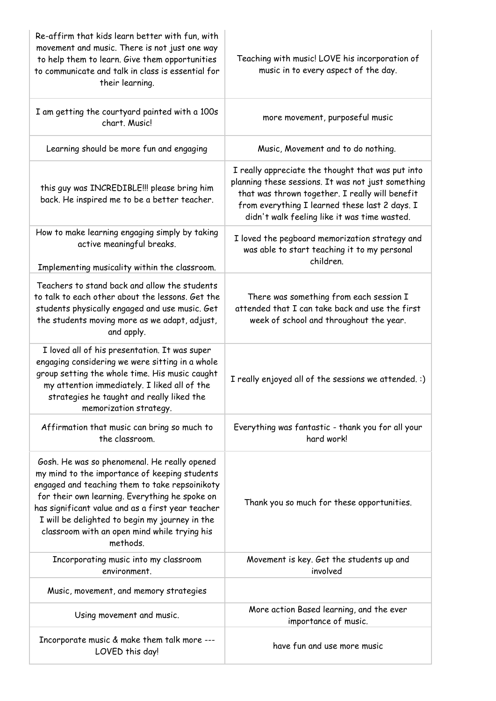| Re-affirm that kids learn better with fun, with<br>movement and music. There is not just one way<br>to help them to learn. Give them opportunities<br>to communicate and talk in class is essential for<br>their learning.                                                                                                                                           | Teaching with music! LOVE his incorporation of<br>music in to every aspect of the day.                                                                                                                                                                       |
|----------------------------------------------------------------------------------------------------------------------------------------------------------------------------------------------------------------------------------------------------------------------------------------------------------------------------------------------------------------------|--------------------------------------------------------------------------------------------------------------------------------------------------------------------------------------------------------------------------------------------------------------|
| I am getting the courtyard painted with a 100s<br>chart. Music!                                                                                                                                                                                                                                                                                                      | more movement, purposeful music                                                                                                                                                                                                                              |
| Learning should be more fun and engaging                                                                                                                                                                                                                                                                                                                             | Music, Movement and to do nothing.                                                                                                                                                                                                                           |
| this guy was INCREDIBLE!!! please bring him<br>back. He inspired me to be a better teacher.                                                                                                                                                                                                                                                                          | I really appreciate the thought that was put into<br>planning these sessions. It was not just something<br>that was thrown together. I really will benefit<br>from everything I learned these last 2 days. I<br>didn't walk feeling like it was time wasted. |
| How to make learning engaging simply by taking<br>active meaningful breaks.<br>Implementing musicality within the classroom.                                                                                                                                                                                                                                         | I loved the pegboard memorization strategy and<br>was able to start teaching it to my personal<br>children.                                                                                                                                                  |
| Teachers to stand back and allow the students<br>to talk to each other about the lessons. Get the<br>students physically engaged and use music. Get<br>the students moving more as we adapt, adjust,<br>and apply.                                                                                                                                                   | There was something from each session I<br>attended that I can take back and use the first<br>week of school and throughout the year.                                                                                                                        |
| I loved all of his presentation. It was super<br>engaging considering we were sitting in a whole<br>group setting the whole time. His music caught<br>my attention immediately. I liked all of the<br>strategies he taught and really liked the<br>memorization strategy.                                                                                            | I really enjoyed all of the sessions we attended. :)                                                                                                                                                                                                         |
| Affirmation that music can bring so much to<br>the classroom.                                                                                                                                                                                                                                                                                                        | Everything was fantastic - thank you for all your<br>hard work!                                                                                                                                                                                              |
| Gosh. He was so phenomenal. He really opened<br>my mind to the importance of keeping students<br>engaged and teaching them to take repsoinikoty<br>for their own learning. Everything he spoke on<br>has significant value and as a first year teacher<br>I will be delighted to begin my journey in the<br>classroom with an open mind while trying his<br>methods. | Thank you so much for these opportunities.                                                                                                                                                                                                                   |
| Incorporating music into my classroom<br>environment.                                                                                                                                                                                                                                                                                                                | Movement is key. Get the students up and<br>involved                                                                                                                                                                                                         |
| Music, movement, and memory strategies                                                                                                                                                                                                                                                                                                                               |                                                                                                                                                                                                                                                              |
| Using movement and music.                                                                                                                                                                                                                                                                                                                                            | More action Based learning, and the ever<br>importance of music.                                                                                                                                                                                             |
| Incorporate music & make them talk more ---<br>LOVED this day!                                                                                                                                                                                                                                                                                                       | have fun and use more music                                                                                                                                                                                                                                  |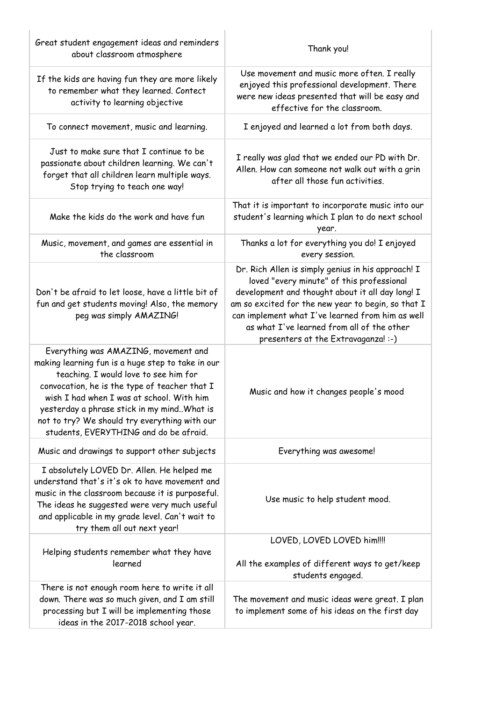| Great student engagement ideas and reminders<br>about classroom atmosphere                                                                                                                                                                                                                                                                                                  | Thank you!                                                                                                                                                                                                                                                                                                                                         |
|-----------------------------------------------------------------------------------------------------------------------------------------------------------------------------------------------------------------------------------------------------------------------------------------------------------------------------------------------------------------------------|----------------------------------------------------------------------------------------------------------------------------------------------------------------------------------------------------------------------------------------------------------------------------------------------------------------------------------------------------|
| If the kids are having fun they are more likely<br>to remember what they learned. Contect<br>activity to learning objective                                                                                                                                                                                                                                                 | Use movement and music more often. I really<br>enjoyed this professional development. There<br>were new ideas presented that will be easy and<br>effective for the classroom.                                                                                                                                                                      |
| To connect movement, music and learning.                                                                                                                                                                                                                                                                                                                                    | I enjoyed and learned a lot from both days.                                                                                                                                                                                                                                                                                                        |
| Just to make sure that I continue to be<br>passionate about children learning. We can't<br>forget that all children learn multiple ways.<br>Stop trying to teach one way!                                                                                                                                                                                                   | I really was glad that we ended our PD with Dr.<br>Allen. How can someone not walk out with a grin<br>after all those fun activities.                                                                                                                                                                                                              |
| Make the kids do the work and have fun                                                                                                                                                                                                                                                                                                                                      | That it is important to incorporate music into our<br>student's learning which I plan to do next school<br>year.                                                                                                                                                                                                                                   |
| Music, movement, and games are essential in<br>the classroom                                                                                                                                                                                                                                                                                                                | Thanks a lot for everything you do! I enjoyed<br>every session.                                                                                                                                                                                                                                                                                    |
| Don't be afraid to let loose, have a little bit of<br>fun and get students moving! Also, the memory<br>peg was simply AMAZING!                                                                                                                                                                                                                                              | Dr. Rich Allen is simply genius in his approach! I<br>loved "every minute" of this professional<br>development and thought about it all day long! I<br>am so excited for the new year to begin, so that I<br>can implement what I've learned from him as well<br>as what I've learned from all of the other<br>presenters at the Extravaganza! :-) |
| Everything was AMAZING, movement and<br>making learning fun is a huge step to take in our<br>teaching. I would love to see him for<br>convocation, he is the type of teacher that I<br>wish I had when I was at school. With him<br>yesterday a phrase stick in my mind. What is<br>not to try? We should try everything with our<br>students, EVERYTHING and do be afraid. | Music and how it changes people's mood                                                                                                                                                                                                                                                                                                             |
| Music and drawings to support other subjects                                                                                                                                                                                                                                                                                                                                | Everything was awesome!                                                                                                                                                                                                                                                                                                                            |
| I absolutely LOVED Dr. Allen. He helped me<br>understand that's it's ok to have movement and<br>music in the classroom because it is purposeful.<br>The ideas he suggested were very much useful<br>and applicable in my grade level. Can't wait to<br>try them all out next year!                                                                                          | Use music to help student mood.                                                                                                                                                                                                                                                                                                                    |
|                                                                                                                                                                                                                                                                                                                                                                             | LOVED, LOVED LOVED him!!!!                                                                                                                                                                                                                                                                                                                         |
| Helping students remember what they have<br>learned                                                                                                                                                                                                                                                                                                                         | All the examples of different ways to get/keep<br>students engaged.                                                                                                                                                                                                                                                                                |
| There is not enough room here to write it all                                                                                                                                                                                                                                                                                                                               |                                                                                                                                                                                                                                                                                                                                                    |
| down. There was so much given, and I am still<br>processing but I will be implementing those<br>ideas in the 2017-2018 school year.                                                                                                                                                                                                                                         | The movement and music ideas were great. I plan<br>to implement some of his ideas on the first day                                                                                                                                                                                                                                                 |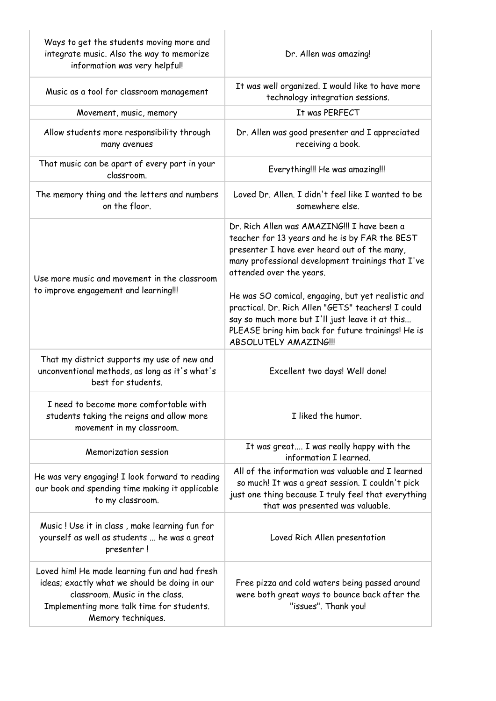| Ways to get the students moving more and<br>integrate music. Also the way to memorize<br>information was very helpful!                                                                              | Dr. Allen was amazing!                                                                                                                                                                                                                                                                                                                                                                                                                                                       |
|-----------------------------------------------------------------------------------------------------------------------------------------------------------------------------------------------------|------------------------------------------------------------------------------------------------------------------------------------------------------------------------------------------------------------------------------------------------------------------------------------------------------------------------------------------------------------------------------------------------------------------------------------------------------------------------------|
| Music as a tool for classroom management                                                                                                                                                            | It was well organized. I would like to have more<br>technology integration sessions.                                                                                                                                                                                                                                                                                                                                                                                         |
| Movement, music, memory                                                                                                                                                                             | It was PERFECT                                                                                                                                                                                                                                                                                                                                                                                                                                                               |
| Allow students more responsibility through<br>many avenues                                                                                                                                          | Dr. Allen was good presenter and I appreciated<br>receiving a book.                                                                                                                                                                                                                                                                                                                                                                                                          |
| That music can be apart of every part in your<br>classroom.                                                                                                                                         | Everything!!! He was amazing!!!                                                                                                                                                                                                                                                                                                                                                                                                                                              |
| The memory thing and the letters and numbers<br>on the floor.                                                                                                                                       | Loved Dr. Allen. I didn't feel like I wanted to be<br>somewhere else.                                                                                                                                                                                                                                                                                                                                                                                                        |
| Use more music and movement in the classroom<br>to improve engagement and learning!!!                                                                                                               | Dr. Rich Allen was AMAZING!!! I have been a<br>teacher for 13 years and he is by FAR the BEST<br>presenter I have ever heard out of the many,<br>many professional development trainings that I've<br>attended over the years.<br>He was SO comical, engaging, but yet realistic and<br>practical. Dr. Rich Allen "GETS" teachers! I could<br>say so much more but I'll just leave it at this<br>PLEASE bring him back for future trainings! He is<br>ABSOLUTELY AMAZING !!! |
| That my district supports my use of new and<br>unconventional methods, as long as it's what's<br>best for students.                                                                                 | Excellent two days! Well done!                                                                                                                                                                                                                                                                                                                                                                                                                                               |
| I need to become more comfortable with<br>students taking the reigns and allow more<br>movement in my classroom.                                                                                    | I liked the humor.                                                                                                                                                                                                                                                                                                                                                                                                                                                           |
| Memorization session                                                                                                                                                                                | It was great I was really happy with the<br>information I learned.                                                                                                                                                                                                                                                                                                                                                                                                           |
| He was very engaging! I look forward to reading<br>our book and spending time making it applicable<br>to my classroom.                                                                              | All of the information was valuable and I learned<br>so much! It was a great session. I couldn't pick<br>just one thing because I truly feel that everything<br>that was presented was valuable.                                                                                                                                                                                                                                                                             |
| Music! Use it in class, make learning fun for<br>yourself as well as students  he was a great<br>presenter!                                                                                         | Loved Rich Allen presentation                                                                                                                                                                                                                                                                                                                                                                                                                                                |
| Loved him! He made learning fun and had fresh<br>ideas; exactly what we should be doing in our<br>classroom. Music in the class.<br>Implementing more talk time for students.<br>Memory techniques. | Free pizza and cold waters being passed around<br>were both great ways to bounce back after the<br>"issues". Thank you!                                                                                                                                                                                                                                                                                                                                                      |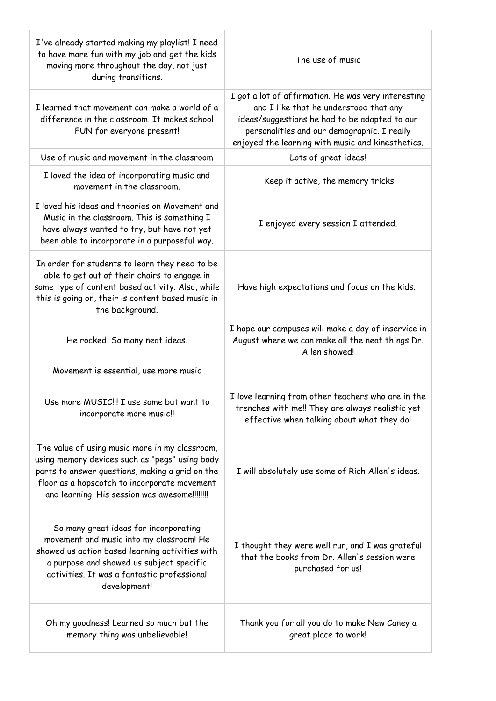| I've already started making my playlist! I need<br>to have more fun with my job and get the kids<br>moving more throughout the day, not just<br>during transitions.                                                                                  | The use of music                                                                                                                                                                                                                                   |
|------------------------------------------------------------------------------------------------------------------------------------------------------------------------------------------------------------------------------------------------------|----------------------------------------------------------------------------------------------------------------------------------------------------------------------------------------------------------------------------------------------------|
| I learned that movement can make a world of a<br>difference in the classroom. It makes school<br>FUN for everyone present!                                                                                                                           | I got a lot of affirmation. He was very interesting<br>and I like that he understood that any<br>ideas/suggestions he had to be adapted to our<br>personalities and our demographic. I really<br>enjoyed the learning with music and kinesthetics. |
| Use of music and movement in the classroom                                                                                                                                                                                                           | Lots of great ideas!                                                                                                                                                                                                                               |
| I loved the idea of incorporating music and<br>movement in the classroom.                                                                                                                                                                            | Keep it active, the memory tricks                                                                                                                                                                                                                  |
| I loved his ideas and theories on Movement and<br>Music in the classroom. This is something I<br>have always wanted to try, but have not yet<br>been able to incorporate in a purposeful way.                                                        | I enjoyed every session I attended.                                                                                                                                                                                                                |
| In order for students to learn they need to be<br>able to get out of their chairs to engage in<br>some type of content based activity. Also, while<br>this is going on, their is content based music in<br>the background.                           | Have high expectations and focus on the kids.                                                                                                                                                                                                      |
| He rocked. So many neat ideas.                                                                                                                                                                                                                       | I hope our campuses will make a day of inservice in<br>August where we can make all the neat things Dr.<br>Allen showed!                                                                                                                           |
| Movement is essential, use more music                                                                                                                                                                                                                |                                                                                                                                                                                                                                                    |
| Use more MUSIC!!! I use some but want to<br>incorporate more music!!                                                                                                                                                                                 | I love learning from other teachers who are in the<br>trenches with me!! They are always realistic yet<br>effective when talking about what they do!                                                                                               |
| The value of using music more in my classroom,<br>using memory devices such as "pegs" using body<br>parts to answer questions, making a grid on the<br>floor as a hopscotch to incorporate movement<br>and learning. His session was awesome!!!!!!!! | I will absolutely use some of Rich Allen's ideas.                                                                                                                                                                                                  |
| So many great ideas for incorporating<br>movement and music into my classroom! He<br>showed us action based learning activities with<br>a purpose and showed us subject specific<br>activities. It was a fantastic professional<br>development!      | I thought they were well run, and I was grateful<br>that the books from Dr. Allen's session were<br>purchased for us!                                                                                                                              |
| Oh my goodness! Learned so much but the<br>memory thing was unbelievable!                                                                                                                                                                            | Thank you for all you do to make New Caney a<br>great place to work!                                                                                                                                                                               |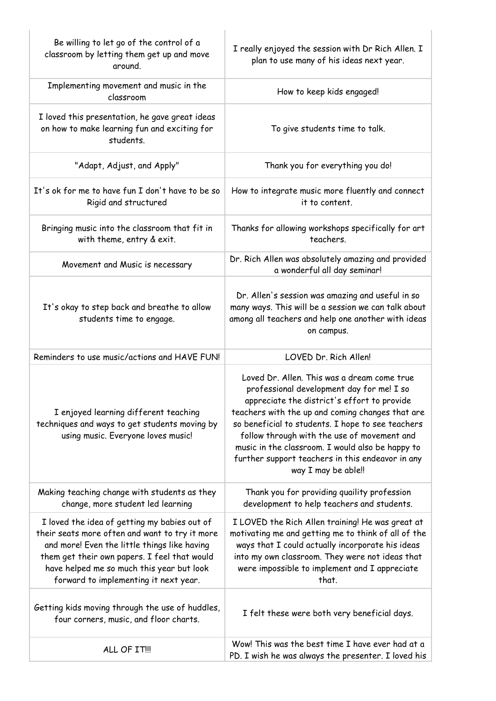| Be willing to let go of the control of a<br>classroom by letting them get up and move<br>around.                                                                                                                                                                                     | I really enjoyed the session with Dr Rich Allen. I<br>plan to use many of his ideas next year.                                                                                                                                                                                                                                                                                                                                 |
|--------------------------------------------------------------------------------------------------------------------------------------------------------------------------------------------------------------------------------------------------------------------------------------|--------------------------------------------------------------------------------------------------------------------------------------------------------------------------------------------------------------------------------------------------------------------------------------------------------------------------------------------------------------------------------------------------------------------------------|
| Implementing movement and music in the<br>classroom                                                                                                                                                                                                                                  | How to keep kids engaged!                                                                                                                                                                                                                                                                                                                                                                                                      |
| I loved this presentation, he gave great ideas<br>on how to make learning fun and exciting for<br>students.                                                                                                                                                                          | To give students time to talk.                                                                                                                                                                                                                                                                                                                                                                                                 |
| "Adapt, Adjust, and Apply"                                                                                                                                                                                                                                                           | Thank you for everything you do!                                                                                                                                                                                                                                                                                                                                                                                               |
| It's ok for me to have fun I don't have to be so<br>Rigid and structured                                                                                                                                                                                                             | How to integrate music more fluently and connect<br>it to content.                                                                                                                                                                                                                                                                                                                                                             |
| Bringing music into the classroom that fit in<br>with theme, entry & exit.                                                                                                                                                                                                           | Thanks for allowing workshops specifically for art<br>teachers.                                                                                                                                                                                                                                                                                                                                                                |
| Movement and Music is necessary                                                                                                                                                                                                                                                      | Dr. Rich Allen was absolutely amazing and provided<br>a wonderful all day seminar!                                                                                                                                                                                                                                                                                                                                             |
| It's okay to step back and breathe to allow<br>students time to engage.                                                                                                                                                                                                              | Dr. Allen's session was amazing and useful in so<br>many ways. This will be a session we can talk about<br>among all teachers and help one another with ideas<br>on campus.                                                                                                                                                                                                                                                    |
| Reminders to use music/actions and HAVE FUN!                                                                                                                                                                                                                                         | LOVED Dr. Rich Allen!                                                                                                                                                                                                                                                                                                                                                                                                          |
| I enjoyed learning different teaching<br>techniques and ways to get students moving by<br>using music. Everyone loves music!                                                                                                                                                         | Loved Dr. Allen. This was a dream come true<br>professional development day for me! I so<br>appreciate the district's effort to provide<br>teachers with the up and coming changes that are<br>so beneficial to students. I hope to see teachers<br>follow through with the use of movement and<br>music in the classroom. I would also be happy to<br>further support teachers in this endeavor in any<br>way I may be able!! |
| Making teaching change with students as they<br>change, more student led learning                                                                                                                                                                                                    | Thank you for providing quaility profession<br>development to help teachers and students.                                                                                                                                                                                                                                                                                                                                      |
| I loved the idea of getting my babies out of<br>their seats more often and want to try it more<br>and more! Even the little things like having<br>them get their own papers. I feel that would<br>have helped me so much this year but look<br>forward to implementing it next year. | I LOVED the Rich Allen training! He was great at<br>motivating me and getting me to think of all of the<br>ways that I could actually incorporate his ideas<br>into my own classroom. They were not ideas that<br>were impossible to implement and I appreciate<br>that.                                                                                                                                                       |
| Getting kids moving through the use of huddles,<br>four corners, music, and floor charts.                                                                                                                                                                                            | I felt these were both very beneficial days.                                                                                                                                                                                                                                                                                                                                                                                   |
| ALL OF IT!!!                                                                                                                                                                                                                                                                         | Wow! This was the best time I have ever had at a<br>PD. I wish he was always the presenter. I loved his                                                                                                                                                                                                                                                                                                                        |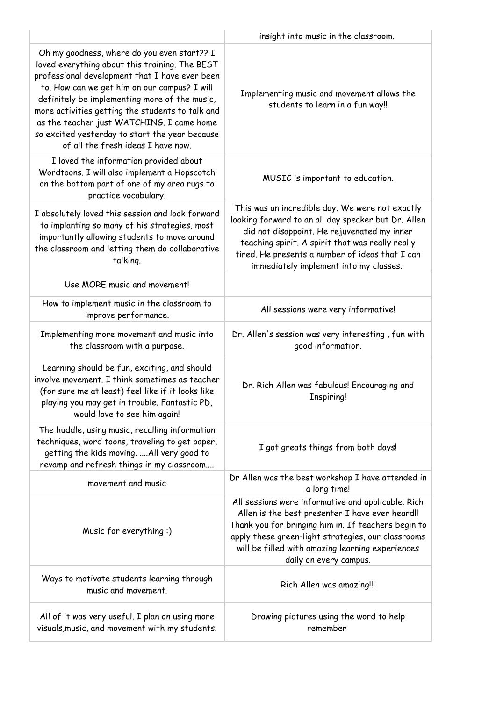|                                                                                                                                                                                                                                                                                                                                                                                                                                           | insight into music in the classroom.                                                                                                                                                                                                                                                                   |
|-------------------------------------------------------------------------------------------------------------------------------------------------------------------------------------------------------------------------------------------------------------------------------------------------------------------------------------------------------------------------------------------------------------------------------------------|--------------------------------------------------------------------------------------------------------------------------------------------------------------------------------------------------------------------------------------------------------------------------------------------------------|
| Oh my goodness, where do you even start?? I<br>loved everything about this training. The BEST<br>professional development that I have ever been<br>to. How can we get him on our campus? I will<br>definitely be implementing more of the music,<br>more activities getting the students to talk and<br>as the teacher just WATCHING. I came home<br>so excited yesterday to start the year because<br>of all the fresh ideas I have now. | Implementing music and movement allows the<br>students to learn in a fun way!!                                                                                                                                                                                                                         |
| I loved the information provided about<br>Wordtoons. I will also implement a Hopscotch<br>on the bottom part of one of my area rugs to<br>practice vocabulary.                                                                                                                                                                                                                                                                            | MUSIC is important to education.                                                                                                                                                                                                                                                                       |
| I absolutely loved this session and look forward<br>to implanting so many of his strategies, most<br>importantly allowing students to move around<br>the classroom and letting them do collaborative<br>talking.                                                                                                                                                                                                                          | This was an incredible day. We were not exactly<br>looking forward to an all day speaker but Dr. Allen<br>did not disappoint. He rejuvenated my inner<br>teaching spirit. A spirit that was really really<br>tired. He presents a number of ideas that I can<br>immediately implement into my classes. |
| Use MORE music and movement!                                                                                                                                                                                                                                                                                                                                                                                                              |                                                                                                                                                                                                                                                                                                        |
| How to implement music in the classroom to<br>improve performance.                                                                                                                                                                                                                                                                                                                                                                        | All sessions were very informative!                                                                                                                                                                                                                                                                    |
| Implementing more movement and music into<br>the classroom with a purpose.                                                                                                                                                                                                                                                                                                                                                                | Dr. Allen's session was very interesting, fun with<br>good information.                                                                                                                                                                                                                                |
| Learning should be fun, exciting, and should<br>involve movement. I think sometimes as teacher<br>(for sure me at least) feel like if it looks like<br>playing you may get in trouble. Fantastic PD,<br>would love to see him again!                                                                                                                                                                                                      | Dr. Rich Allen was fabulous! Encouraging and<br><b>Inspiring!</b>                                                                                                                                                                                                                                      |
| The huddle, using music, recalling information<br>techniques, word toons, traveling to get paper,<br>getting the kids moving.  All very good to<br>revamp and refresh things in my classroom                                                                                                                                                                                                                                              | I got greats things from both days!                                                                                                                                                                                                                                                                    |
| movement and music                                                                                                                                                                                                                                                                                                                                                                                                                        | Dr Allen was the best workshop I have attended in<br>a long time!                                                                                                                                                                                                                                      |
| Music for everything:)                                                                                                                                                                                                                                                                                                                                                                                                                    | All sessions were informative and applicable. Rich<br>Allen is the best presenter I have ever heard!!<br>Thank you for bringing him in. If teachers begin to<br>apply these green-light strategies, our classrooms<br>will be filled with amazing learning experiences<br>daily on every campus.       |
| Ways to motivate students learning through<br>music and movement.                                                                                                                                                                                                                                                                                                                                                                         | Rich Allen was amazing!!!                                                                                                                                                                                                                                                                              |
| All of it was very useful. I plan on using more<br>visuals, music, and movement with my students.                                                                                                                                                                                                                                                                                                                                         | Drawing pictures using the word to help<br>remember                                                                                                                                                                                                                                                    |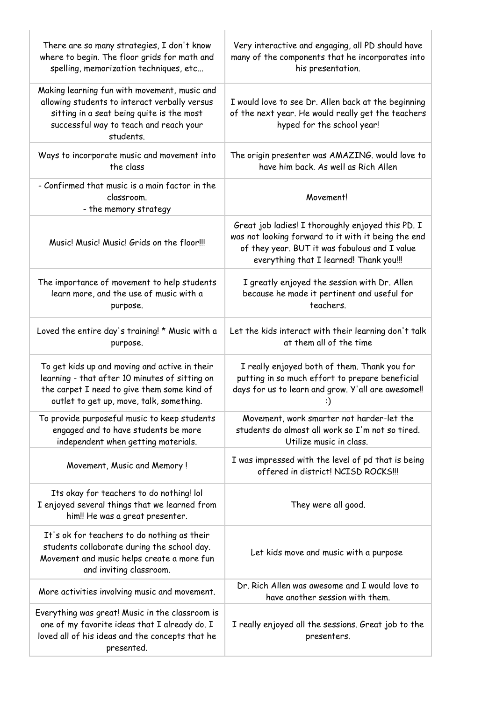| There are so many strategies, I don't know<br>where to begin. The floor grids for math and<br>spelling, memorization techniques, etc                                                              | Very interactive and engaging, all PD should have<br>many of the components that he incorporates into<br>his presentation.                                                                           |
|---------------------------------------------------------------------------------------------------------------------------------------------------------------------------------------------------|------------------------------------------------------------------------------------------------------------------------------------------------------------------------------------------------------|
| Making learning fun with movement, music and<br>allowing students to interact verbally versus<br>sitting in a seat being quite is the most<br>successful way to teach and reach your<br>students. | I would love to see Dr. Allen back at the beginning<br>of the next year. He would really get the teachers<br>hyped for the school year!                                                              |
| Ways to incorporate music and movement into<br>the class                                                                                                                                          | The origin presenter was AMAZING. would love to<br>have him back. As well as Rich Allen                                                                                                              |
| - Confirmed that music is a main factor in the<br>classroom.<br>- the memory strategy                                                                                                             | Movement!                                                                                                                                                                                            |
| Music! Music! Music! Grids on the floor!!!                                                                                                                                                        | Great job ladies! I thoroughly enjoyed this PD. I<br>was not looking forward to it with it being the end<br>of they year. BUT it was fabulous and I value<br>everything that I learned! Thank you!!! |
| The importance of movement to help students<br>learn more, and the use of music with a<br>purpose.                                                                                                | I greatly enjoyed the session with Dr. Allen<br>because he made it pertinent and useful for<br>teachers.                                                                                             |
| Loved the entire day's training! * Music with a<br>purpose.                                                                                                                                       | Let the kids interact with their learning don't talk<br>at them all of the time                                                                                                                      |
| To get kids up and moving and active in their<br>learning - that after 10 minutes of sitting on<br>the carpet I need to give them some kind of<br>outlet to get up, move, talk, something.        | I really enjoyed both of them. Thank you for<br>putting in so much effort to prepare beneficial<br>days for us to learn and grow. Y'all are awesome!!<br>:)                                          |
| To provide purposeful music to keep students<br>engaged and to have students be more<br>independent when getting materials.                                                                       | Movement, work smarter not harder-let the<br>students do almost all work so I'm not so tired.<br>Utilize music in class.                                                                             |
| Movement, Music and Memory!                                                                                                                                                                       | I was impressed with the level of pd that is being<br>offered in district! NCISD ROCKS!!!                                                                                                            |
| Its okay for teachers to do nothing! lol<br>I enjoyed several things that we learned from<br>him!! He was a great presenter.                                                                      | They were all good.                                                                                                                                                                                  |
| It's ok for teachers to do nothing as their<br>students collaborate during the school day.<br>Movement and music helps create a more fun<br>and inviting classroom.                               | Let kids move and music with a purpose                                                                                                                                                               |
| More activities involving music and movement.                                                                                                                                                     | Dr. Rich Allen was awesome and I would love to<br>have another session with them.                                                                                                                    |
| Everything was great! Music in the classroom is<br>one of my favorite ideas that I already do. I<br>loved all of his ideas and the concepts that he<br>presented.                                 | I really enjoyed all the sessions. Great job to the<br>presenters.                                                                                                                                   |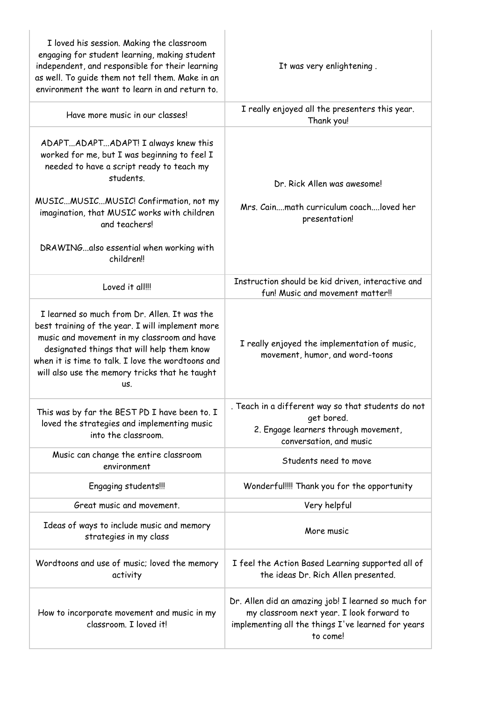| I loved his session. Making the classroom<br>engaging for student learning, making student<br>independent, and responsible for their learning<br>as well. To quide them not tell them. Make in an<br>environment the want to learn in and return to.                                                        | It was very enlightening.                                                                                                                                          |
|-------------------------------------------------------------------------------------------------------------------------------------------------------------------------------------------------------------------------------------------------------------------------------------------------------------|--------------------------------------------------------------------------------------------------------------------------------------------------------------------|
| Have more music in our classes!                                                                                                                                                                                                                                                                             | I really enjoyed all the presenters this year.<br>Thank you!                                                                                                       |
| ADAPTADAPTADAPT! I always knew this<br>worked for me, but I was beginning to feel I<br>needed to have a script ready to teach my<br>students.                                                                                                                                                               | Dr. Rick Allen was awesome!                                                                                                                                        |
| MUSICMUSICMUSIC! Confirmation, not my<br>imagination, that MUSIC works with children<br>and teachers!                                                                                                                                                                                                       | Mrs. Cainmath curriculum coachloved her<br>presentation!                                                                                                           |
| DRAWINGalso essential when working with<br>children!!                                                                                                                                                                                                                                                       |                                                                                                                                                                    |
| Loved it all!!!                                                                                                                                                                                                                                                                                             | Instruction should be kid driven, interactive and<br>fun! Music and movement matter!!                                                                              |
| I learned so much from Dr. Allen. It was the<br>best training of the year. I will implement more<br>music and movement in my classroom and have<br>designated things that will help them know<br>when it is time to talk. I love the wordtoons and<br>will also use the memory tricks that he taught<br>US. | I really enjoyed the implementation of music,<br>movement, humor, and word-toons                                                                                   |
| This was by far the BEST PD I have been to. I<br>loved the strategies and implementing music<br>into the classroom.                                                                                                                                                                                         | . Teach in a different way so that students do not<br>get bored.<br>2. Engage learners through movement,<br>conversation, and music                                |
| Music can change the entire classroom<br>environment                                                                                                                                                                                                                                                        | Students need to move                                                                                                                                              |
| Engaging students!!!                                                                                                                                                                                                                                                                                        | Wonderful!!!! Thank you for the opportunity                                                                                                                        |
| Great music and movement.                                                                                                                                                                                                                                                                                   | Very helpful                                                                                                                                                       |
| Ideas of ways to include music and memory<br>strategies in my class                                                                                                                                                                                                                                         | More music                                                                                                                                                         |
| Wordtoons and use of music; loved the memory<br>activity                                                                                                                                                                                                                                                    | I feel the Action Based Learning supported all of<br>the ideas Dr. Rich Allen presented.                                                                           |
| How to incorporate movement and music in my<br>classroom. I loved it!                                                                                                                                                                                                                                       | Dr. Allen did an amazing job! I learned so much for<br>my classroom next year. I look forward to<br>implementing all the things I've learned for years<br>to come! |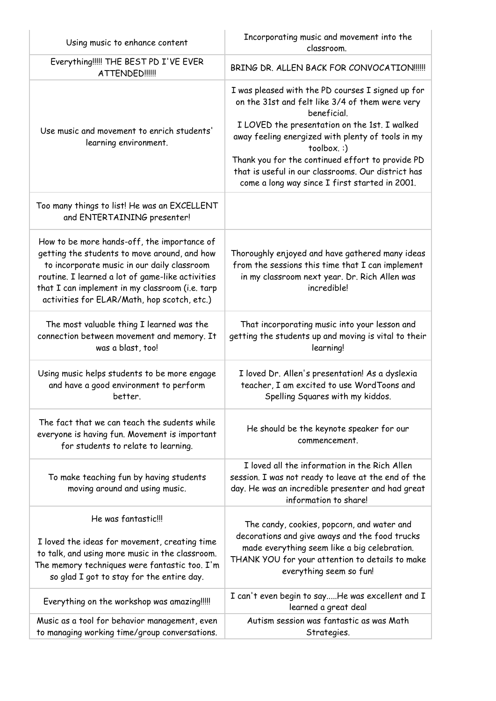| Using music to enhance content                                                                                                                                                                                                                                                                   | Incorporating music and movement into the<br>classroom.                                                                                                                                                                                                                                                                                                                                             |
|--------------------------------------------------------------------------------------------------------------------------------------------------------------------------------------------------------------------------------------------------------------------------------------------------|-----------------------------------------------------------------------------------------------------------------------------------------------------------------------------------------------------------------------------------------------------------------------------------------------------------------------------------------------------------------------------------------------------|
| Everything!!!!! THE BEST PD I'VE EVER<br><b>ATTENDED !!!!!!</b>                                                                                                                                                                                                                                  | BRING DR. ALLEN BACK FOR CONVOCATION !!!!!                                                                                                                                                                                                                                                                                                                                                          |
| Use music and movement to enrich students'<br>learning environment.                                                                                                                                                                                                                              | I was pleased with the PD courses I signed up for<br>on the 31st and felt like 3/4 of them were very<br>beneficial.<br>I LOVED the presentation on the 1st. I walked<br>away feeling energized with plenty of tools in my<br>toolbox.:)<br>Thank you for the continued effort to provide PD<br>that is useful in our classrooms. Our district has<br>come a long way since I first started in 2001. |
| Too many things to list! He was an EXCELLENT<br>and ENTERTAINING presenter!                                                                                                                                                                                                                      |                                                                                                                                                                                                                                                                                                                                                                                                     |
| How to be more hands-off, the importance of<br>getting the students to move around, and how<br>to incorporate music in our daily classroom<br>routine. I learned a lot of game-like activities<br>that I can implement in my classroom (i.e. tarp<br>activities for ELAR/Math, hop scotch, etc.) | Thoroughly enjoyed and have gathered many ideas<br>from the sessions this time that I can implement<br>in my classroom next year. Dr. Rich Allen was<br>incredible!                                                                                                                                                                                                                                 |
| The most valuable thing I learned was the<br>connection between movement and memory. It<br>was a blast, too!                                                                                                                                                                                     | That incorporating music into your lesson and<br>getting the students up and moving is vital to their<br>learning!                                                                                                                                                                                                                                                                                  |
| Using music helps students to be more engage<br>and have a good environment to perform<br>better.                                                                                                                                                                                                | I loved Dr. Allen's presentation! As a dyslexia<br>teacher, I am excited to use WordToons and<br>Spelling Squares with my kiddos.                                                                                                                                                                                                                                                                   |
| The fact that we can teach the sudents while<br>everyone is having fun. Movement is important<br>for students to relate to learning.                                                                                                                                                             | He should be the keynote speaker for our<br>commencement.                                                                                                                                                                                                                                                                                                                                           |
| To make teaching fun by having students<br>moving around and using music.                                                                                                                                                                                                                        | I loved all the information in the Rich Allen<br>session. I was not ready to leave at the end of the<br>day. He was an incredible presenter and had great<br>information to share!                                                                                                                                                                                                                  |
| He was fantastic!!!<br>I loved the ideas for movement, creating time<br>to talk, and using more music in the classroom.<br>The memory techniques were fantastic too. I'm<br>so glad I got to stay for the entire day.                                                                            | The candy, cookies, popcorn, and water and<br>decorations and give aways and the food trucks<br>made everything seem like a big celebration.<br>THANK YOU for your attention to details to make<br>everything seem so fun!                                                                                                                                                                          |
| Everything on the workshop was amazing!!!!!                                                                                                                                                                                                                                                      | I can't even begin to sayHe was excellent and I<br>learned a great deal                                                                                                                                                                                                                                                                                                                             |
| Music as a tool for behavior management, even<br>to managing working time/group conversations.                                                                                                                                                                                                   | Autism session was fantastic as was Math<br>Strategies.                                                                                                                                                                                                                                                                                                                                             |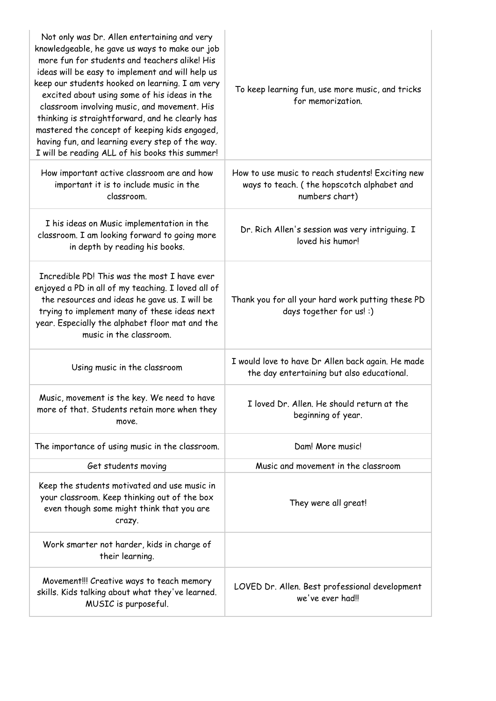| Not only was Dr. Allen entertaining and very<br>knowledgeable, he gave us ways to make our job<br>more fun for students and teachers alike! His<br>ideas will be easy to implement and will help us<br>keep our students hooked on learning. I am very<br>excited about using some of his ideas in the<br>classroom involving music, and movement. His<br>thinking is straightforward, and he clearly has<br>mastered the concept of keeping kids engaged,<br>having fun, and learning every step of the way.<br>I will be reading ALL of his books this summer! | To keep learning fun, use more music, and tricks<br>for memorization.                                            |
|------------------------------------------------------------------------------------------------------------------------------------------------------------------------------------------------------------------------------------------------------------------------------------------------------------------------------------------------------------------------------------------------------------------------------------------------------------------------------------------------------------------------------------------------------------------|------------------------------------------------------------------------------------------------------------------|
| How important active classroom are and how<br>important it is to include music in the<br>classroom.                                                                                                                                                                                                                                                                                                                                                                                                                                                              | How to use music to reach students! Exciting new<br>ways to teach. (the hopscotch alphabet and<br>numbers chart) |
| I his ideas on Music implementation in the<br>classroom. I am looking forward to going more<br>in depth by reading his books.                                                                                                                                                                                                                                                                                                                                                                                                                                    | Dr. Rich Allen's session was very intriguing. I<br>loved his humor!                                              |
| Incredible PD! This was the most I have ever<br>enjoyed a PD in all of my teaching. I loved all of<br>the resources and ideas he gave us. I will be<br>trying to implement many of these ideas next<br>year. Especially the alphabet floor mat and the<br>music in the classroom.                                                                                                                                                                                                                                                                                | Thank you for all your hard work putting these PD<br>days together for us! :)                                    |
| Using music in the classroom                                                                                                                                                                                                                                                                                                                                                                                                                                                                                                                                     | I would love to have Dr Allen back again. He made<br>the day entertaining but also educational.                  |
| Music, movement is the key. We need to have<br>more of that. Students retain more when they<br>move.                                                                                                                                                                                                                                                                                                                                                                                                                                                             | I loved Dr. Allen. He should return at the<br>beginning of year.                                                 |
| The importance of using music in the classroom.                                                                                                                                                                                                                                                                                                                                                                                                                                                                                                                  | Dam! More music!                                                                                                 |
| Get students moving                                                                                                                                                                                                                                                                                                                                                                                                                                                                                                                                              | Music and movement in the classroom                                                                              |
| Keep the students motivated and use music in<br>your classroom. Keep thinking out of the box<br>even though some might think that you are<br>crazy.                                                                                                                                                                                                                                                                                                                                                                                                              | They were all great!                                                                                             |
| Work smarter not harder, kids in charge of<br>their learning.                                                                                                                                                                                                                                                                                                                                                                                                                                                                                                    |                                                                                                                  |
| Movement!!! Creative ways to teach memory<br>skills. Kids talking about what they've learned.<br>MUSIC is purposeful.                                                                                                                                                                                                                                                                                                                                                                                                                                            | LOVED Dr. Allen. Best professional development<br>we've ever had!!                                               |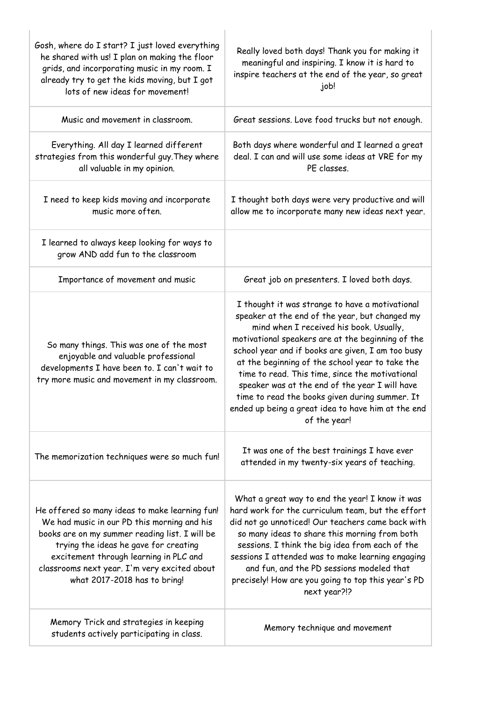| Gosh, where do I start? I just loved everything<br>he shared with us! I plan on making the floor<br>grids, and incorporating music in my room. I<br>already try to get the kids moving, but I got<br>lots of new ideas for movement!                                                                               | Really loved both days! Thank you for making it<br>meaningful and inspiring. I know it is hard to<br>inspire teachers at the end of the year, so great<br>job!                                                                                                                                                                                                                                                                                                                                                                         |
|--------------------------------------------------------------------------------------------------------------------------------------------------------------------------------------------------------------------------------------------------------------------------------------------------------------------|----------------------------------------------------------------------------------------------------------------------------------------------------------------------------------------------------------------------------------------------------------------------------------------------------------------------------------------------------------------------------------------------------------------------------------------------------------------------------------------------------------------------------------------|
| Music and movement in classroom.                                                                                                                                                                                                                                                                                   | Great sessions. Love food trucks but not enough.                                                                                                                                                                                                                                                                                                                                                                                                                                                                                       |
| Everything. All day I learned different<br>strategies from this wonderful guy. They where<br>all valuable in my opinion.                                                                                                                                                                                           | Both days where wonderful and I learned a great<br>deal. I can and will use some ideas at VRE for my<br>PE classes.                                                                                                                                                                                                                                                                                                                                                                                                                    |
| I need to keep kids moving and incorporate<br>music more often.                                                                                                                                                                                                                                                    | I thought both days were very productive and will<br>allow me to incorporate many new ideas next year.                                                                                                                                                                                                                                                                                                                                                                                                                                 |
| I learned to always keep looking for ways to<br>grow AND add fun to the classroom                                                                                                                                                                                                                                  |                                                                                                                                                                                                                                                                                                                                                                                                                                                                                                                                        |
| Importance of movement and music                                                                                                                                                                                                                                                                                   | Great job on presenters. I loved both days.                                                                                                                                                                                                                                                                                                                                                                                                                                                                                            |
| So many things. This was one of the most<br>enjoyable and valuable professional<br>developments I have been to. I can't wait to<br>try more music and movement in my classroom.                                                                                                                                    | I thought it was strange to have a motivational<br>speaker at the end of the year, but changed my<br>mind when I received his book. Usually,<br>motivational speakers are at the beginning of the<br>school year and if books are given, I am too busy<br>at the beginning of the school year to take the<br>time to read. This time, since the motivational<br>speaker was at the end of the year I will have<br>time to read the books given during summer. It<br>ended up being a great idea to have him at the end<br>of the year! |
| The memorization techniques were so much fun!                                                                                                                                                                                                                                                                      | It was one of the best trainings I have ever<br>attended in my twenty-six years of teaching.                                                                                                                                                                                                                                                                                                                                                                                                                                           |
| He offered so many ideas to make learning fun!<br>We had music in our PD this morning and his<br>books are on my summer reading list. I will be<br>trying the ideas he gave for creating<br>excitement through learning in PLC and<br>classrooms next year. I'm very excited about<br>what 2017-2018 has to bring! | What a great way to end the year! I know it was<br>hard work for the curriculum team, but the effort<br>did not go unnoticed! Our teachers came back with<br>so many ideas to share this morning from both<br>sessions. I think the big idea from each of the<br>sessions I attended was to make learning engaging<br>and fun, and the PD sessions modeled that<br>precisely! How are you going to top this year's PD<br>next year?!?                                                                                                  |
| Memory Trick and strategies in keeping<br>students actively participating in class.                                                                                                                                                                                                                                | Memory technique and movement                                                                                                                                                                                                                                                                                                                                                                                                                                                                                                          |